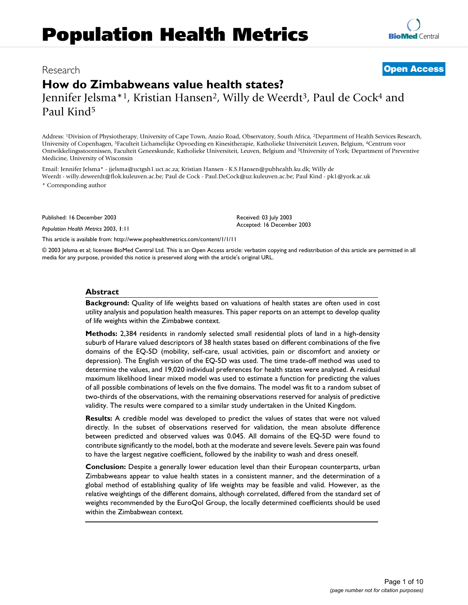# Research **[Open Access](http://www.biomedcentral.com/info/about/charter/)**

# **How do Zimbabweans value health states?** Jennifer Jelsma<sup>\*1</sup>, Kristian Hansen<sup>2</sup>, Willy de Weerdt<sup>3</sup>, Paul de Cock<sup>4</sup> and Paul Kind5

Address: 1Division of Physiotherapy, University of Cape Town, Anzio Road, Observatory, South Africa, 2Department of Health Services Research, University of Copenhagen, 3Faculteit Lichamelijke Opvoeding en Kinesitherapie, Katholieke Universiteit Leuven, Belgium, 4Centrum voor Ontwikkelingsstoornissen, Faculteit Geneeskunde, Katholieke Universiteit, Leuven, Belgium and 5University of York; Department of Preventive Medicine, University of Wisconsin

Email: Jennifer Jelsma\* - jjelsma@uctgsh1.uct.ac.za; Kristian Hansen - K.S.Hansen@pubhealth.ku.dk; Willy de Weerdt - willy.deweerdt@flok.kuleuven.ac.be; Paul de Cock - Paul.DeCock@uz.kuleuven.ac.be; Paul Kind - pk1@york.ac.uk \* Corresponding author

Published: 16 December 2003

*Population Health Metrics* 2003, **1**:11

[This article is available from: http://www.pophealthmetrics.com/content/1/1/11](http://www.pophealthmetrics.com/content/1/1/11)

© 2003 Jelsma et al; licensee BioMed Central Ltd. This is an Open Access article: verbatim copying and redistribution of this article are permitted in all media for any purpose, provided this notice is preserved along with the article's original URL.

Received: 03 July 2003 Accepted: 16 December 2003

### **Abstract**

**Background:** Quality of life weights based on valuations of health states are often used in cost utility analysis and population health measures. This paper reports on an attempt to develop quality of life weights within the Zimbabwe context.

**Methods:** 2,384 residents in randomly selected small residential plots of land in a high-density suburb of Harare valued descriptors of 38 health states based on different combinations of the five domains of the EQ-5D (mobility, self-care, usual activities, pain or discomfort and anxiety or depression). The English version of the EQ-5D was used. The time trade-off method was used to determine the values, and 19,020 individual preferences for health states were analysed. A residual maximum likelihood linear mixed model was used to estimate a function for predicting the values of all possible combinations of levels on the five domains. The model was fit to a random subset of two-thirds of the observations, with the remaining observations reserved for analysis of predictive validity. The results were compared to a similar study undertaken in the United Kingdom.

**Results:** A credible model was developed to predict the values of states that were not valued directly. In the subset of observations reserved for validation, the mean absolute difference between predicted and observed values was 0.045. All domains of the EQ-5D were found to contribute significantly to the model, both at the moderate and severe levels. Severe pain was found to have the largest negative coefficient, followed by the inability to wash and dress oneself.

**Conclusion:** Despite a generally lower education level than their European counterparts, urban Zimbabweans appear to value health states in a consistent manner, and the determination of a global method of establishing quality of life weights may be feasible and valid. However, as the relative weightings of the different domains, although correlated, differed from the standard set of weights recommended by the EuroQol Group, the locally determined coefficients should be used within the Zimbabwean context.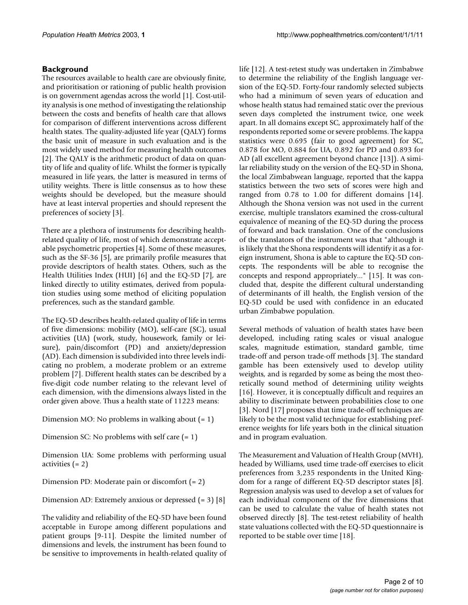# **Background**

The resources available to health care are obviously finite, and prioritisation or rationing of public health provision is on government agendas across the world [1]. Cost-utility analysis is one method of investigating the relationship between the costs and benefits of health care that allows for comparison of different interventions across different health states. The quality-adjusted life year (QALY) forms the basic unit of measure in such evaluation and is the most widely used method for measuring health outcomes [2]. The QALY is the arithmetic product of data on quantity of life and quality of life. Whilst the former is typically measured in life years, the latter is measured in terms of utility weights. There is little consensus as to how these weights should be developed, but the measure should have at least interval properties and should represent the preferences of society [3].

There are a plethora of instruments for describing healthrelated quality of life, most of which demonstrate acceptable psychometric properties [4]. Some of these measures, such as the SF-36 [5], are primarily profile measures that provide descriptors of health states. Others, such as the Health Utilities Index (HUI) [6] and the EQ-5D [7], are linked directly to utility estimates, derived from population studies using some method of eliciting population preferences, such as the standard gamble.

The EQ-5D describes health-related quality of life in terms of five dimensions: mobility (MO), self-care (SC), usual activities (UA) (work, study, housework, family or leisure), pain/discomfort (PD) and anxiety/depression (AD). Each dimension is subdivided into three levels indicating no problem, a moderate problem or an extreme problem [7]. Different health states can be described by a five-digit code number relating to the relevant level of each dimension, with the dimensions always listed in the order given above. Thus a health state of 11223 means:

Dimension MO: No problems in walking about (= 1)

Dimension SC: No problems with self care (= 1)

Dimension UA: Some problems with performing usual activities  $(= 2)$ 

Dimension PD: Moderate pain or discomfort (= 2)

Dimension AD: Extremely anxious or depressed (= 3) [8]

The validity and reliability of the EQ-5D have been found acceptable in Europe among different populations and patient groups [9-11]. Despite the limited number of dimensions and levels, the instrument has been found to be sensitive to improvements in health-related quality of life [12]. A test-retest study was undertaken in Zimbabwe to determine the reliability of the English language version of the EQ-5D. Forty-four randomly selected subjects who had a minimum of seven years of education and whose health status had remained static over the previous seven days completed the instrument twice, one week apart. In all domains except SC, approximately half of the respondents reported some or severe problems. The kappa statistics were 0.695 (fair to good agreement) for SC, 0.878 for MO, 0.884 for UA, 0.892 for PD and 0.893 for AD (all excellent agreement beyond chance [13]). A similar reliability study on the version of the EQ-5D in Shona, the local Zimbabwean language, reported that the kappa statistics between the two sets of scores were high and ranged from 0.78 to 1.00 for different domains [14]. Although the Shona version was not used in the current exercise, multiple translators examined the cross-cultural equivalence of meaning of the EQ-5D during the process of forward and back translation. One of the conclusions of the translators of the instrument was that "although it is likely that the Shona respondents will identify it as a foreign instrument, Shona is able to capture the EQ-5D concepts. The respondents will be able to recognise the concepts and respond appropriately..." [15]. It was concluded that, despite the different cultural understanding of determinants of ill health, the English version of the EQ-5D could be used with confidence in an educated urban Zimbabwe population.

Several methods of valuation of health states have been developed, including rating scales or visual analogue scales, magnitude estimation, standard gamble, time trade-off and person trade-off methods [3]. The standard gamble has been extensively used to develop utility weights, and is regarded by some as being the most theoretically sound method of determining utility weights [16]. However, it is conceptually difficult and requires an ability to discriminate between probabilities close to one [3]. Nord [17] proposes that time trade-off techniques are likely to be the most valid technique for establishing preference weights for life years both in the clinical situation and in program evaluation.

The Measurement and Valuation of Health Group (MVH), headed by Williams, used time trade-off exercises to elicit preferences from 3,235 respondents in the United Kingdom for a range of different EQ-5D descriptor states [8]. Regression analysis was used to develop a set of values for each individual component of the five dimensions that can be used to calculate the value of health states not observed directly [8]. The test-retest reliability of health state valuations collected with the EQ-5D questionnaire is reported to be stable over time [18].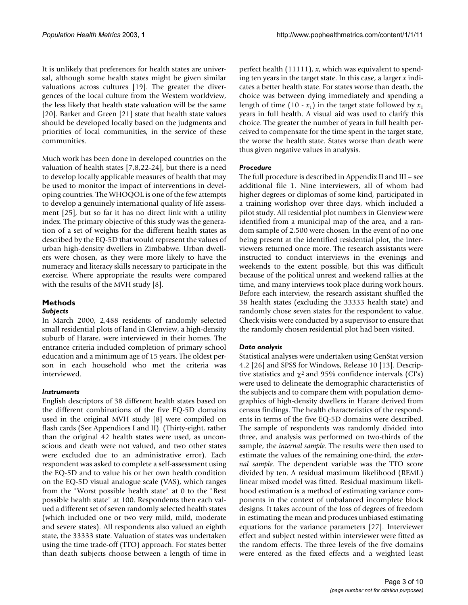It is unlikely that preferences for health states are universal, although some health states might be given similar valuations across cultures [19]. The greater the divergences of the local culture from the Western worldview, the less likely that health state valuation will be the same [20]. Barker and Green [21] state that health state values should be developed locally based on the judgments and priorities of local communities, in the service of these communities.

Much work has been done in developed countries on the valuation of health states [7,8,22-24], but there is a need to develop locally applicable measures of health that may be used to monitor the impact of interventions in developing countries. The WHOQOL is one of the few attempts to develop a genuinely international quality of life assessment [25], but so far it has no direct link with a utility index. The primary objective of this study was the generation of a set of weights for the different health states as described by the EQ-5D that would represent the values of urban high-density dwellers in Zimbabwe. Urban dwellers were chosen, as they were more likely to have the numeracy and literacy skills necessary to participate in the exercise. Where appropriate the results were compared with the results of the MVH study [8].

### **Methods** *Subjects*

In March 2000, 2,488 residents of randomly selected small residential plots of land in Glenview, a high-density suburb of Harare, were interviewed in their homes. The entrance criteria included completion of primary school education and a minimum age of 15 years. The oldest person in each household who met the criteria was interviewed.

## *Instruments*

English descriptors of 38 different health states based on the different combinations of the five EQ-5D domains used in the original MVH study [8] were compiled on flash cards (See Appendices I and II). (Thirty-eight, rather than the original 42 health states were used, as unconscious and death were not valued, and two other states were excluded due to an administrative error). Each respondent was asked to complete a self-assessment using the EQ-5D and to value his or her own health condition on the EQ-5D visual analogue scale (VAS), which ranges from the "Worst possible health state" at 0 to the "Best possible health state" at 100. Respondents then each valued a different set of seven randomly selected health states (which included one or two very mild, mild, moderate and severe states). All respondents also valued an eighth state, the 33333 state. Valuation of states was undertaken using the time trade-off (TTO) approach. For states better than death subjects choose between a length of time in

perfect health (11111), *x*, which was equivalent to spending ten years in the target state. In this case, a larger *x* indicates a better health state. For states worse than death, the choice was between dying immediately and spending a length of time  $(10 - x_1)$  in the target state followed by  $x_1$ years in full health. A visual aid was used to clarify this choice. The greater the number of years in full health perceived to compensate for the time spent in the target state, the worse the health state. States worse than death were thus given negative values in analysis.

### *Procedure*

The full procedure is described in Appendix II and III – see additional file 1. Nine interviewers, all of whom had higher degrees or diplomas of some kind, participated in a training workshop over three days, which included a pilot study. All residential plot numbers in Glenview were identified from a municipal map of the area, and a random sample of 2,500 were chosen. In the event of no one being present at the identified residential plot, the interviewers returned once more. The research assistants were instructed to conduct interviews in the evenings and weekends to the extent possible, but this was difficult because of the political unrest and weekend rallies at the time, and many interviews took place during work hours. Before each interview, the research assistant shuffled the 38 health states (excluding the 33333 health state) and randomly chose seven states for the respondent to value. Check visits were conducted by a supervisor to ensure that the randomly chosen residential plot had been visited.

### *Data analysis*

Statistical analyses were undertaken using GenStat version 4.2 [26] and SPSS for Windows, Release 10 [13]. Descriptive statistics and  $\chi^2$  and 95% confidence intervals (CI's) were used to delineate the demographic characteristics of the subjects and to compare them with population demographics of high-density dwellers in Harare derived from census findings. The health characteristics of the respondents in terms of the five EQ-5D domains were described. The sample of respondents was randomly divided into three, and analysis was performed on two-thirds of the sample, the *internal sample*. The results were then used to estimate the values of the remaining one-third, the *external sample*. The dependent variable was the TTO score divided by ten. A residual maximum likelihood (REML) linear mixed model was fitted. Residual maximum likelihood estimation is a method of estimating variance components in the context of unbalanced incomplete block designs. It takes account of the loss of degrees of freedom in estimating the mean and produces unbiased estimating equations for the variance parameters [27]. Interviewer effect and subject nested within interviewer were fitted as the random effects. The three levels of the five domains were entered as the fixed effects and a weighted least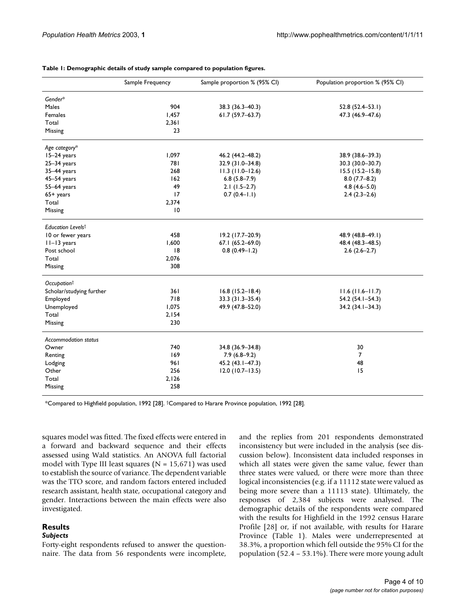|                               | Sample Frequency | Sample proportion % (95% CI) | Population proportion % (95% CI) |
|-------------------------------|------------------|------------------------------|----------------------------------|
| Gender*                       |                  |                              |                                  |
| Males                         | 904              | 38.3 (36.3-40.3)             | $52.8(52.4 - 53.1)$              |
| Females                       | 1,457            | $61.7(59.7 - 63.7)$          | 47.3 (46.9-47.6)                 |
| Total                         | 2,361            |                              |                                  |
| Missing                       | 23               |                              |                                  |
| Age category*                 |                  |                              |                                  |
| 15-24 years                   | 1,097            | 46.2 (44.2-48.2)             | 38.9 (38.6-39.3)                 |
| $25 - 34$ years               | 781              | 32.9 (31.0-34.8)             | 30.3 (30.0-30.7)                 |
| $35-44$ years                 | 268              | $11.3$ ( $11.0 - 12.6$ )     | $15.5$ (15.2-15.8)               |
| $45-54$ years                 | 162              | $6.8(5.8 - 7.9)$             | $8.0(7.7 - 8.2)$                 |
| $55-64$ years                 | 49               | $2.1(1.5-2.7)$               | $4.8(4.6 - 5.0)$                 |
| $65+$ years                   | 17               | $0.7(0.4-1.1)$               | $2.4(2.3-2.6)$                   |
| Total                         | 2,374            |                              |                                  |
| Missing                       | 10               |                              |                                  |
| Education Levels <sup>†</sup> |                  |                              |                                  |
| 10 or fewer years             | 458              | 19.2 (17.7-20.9)             | 48.9 (48.8-49.1)                 |
| II-13 years                   | 1,600            | 67.1 (65.2-69.0)             | 48.4 (48.3-48.5)                 |
| Post school                   | 18               | $0.8(0.49 - 1.2)$            | $2.6(2.6-2.7)$                   |
| Total                         | 2.076            |                              |                                  |
| Missing                       | 308              |                              |                                  |
| Occupation <sup>†</sup>       |                  |                              |                                  |
| Scholar/studying further      | 361              | $16.8$ (15.2-18.4)           | $11.6$ ( $11.6 - 11.7$ )         |
| Employed                      | 718              | 33.3 (31.3-35.4)             | 54.2 (54.1-54.3)                 |
| Unemployed                    | 1,075            | 49.9 (47.8-52.0)             | $34.2 (34.1 - 34.3)$             |
| Total                         | 2,154            |                              |                                  |
| Missing                       | 230              |                              |                                  |
| <b>Accommodation status</b>   |                  |                              |                                  |
| Owner                         | 740              | 34.8 (36.9-34.8)             | 30                               |
| Renting                       | 169              | $7.9(6.8-9.2)$               | 7                                |
| Lodging                       | 961              | 45.2 (43.1-47.3)             | 48                               |
| Other                         | 256              | $12.0(10.7-13.5)$            | 15                               |
| Total                         | 2,126            |                              |                                  |
| Missing                       | 258              |                              |                                  |

#### **Table 1: Demographic details of study sample compared to population figures.**

\*Compared to Highfield population, 1992 [28]. †Compared to Harare Province population, 1992 [28].

squares model was fitted. The fixed effects were entered in a forward and backward sequence and their effects assessed using Wald statistics. An ANOVA full factorial model with Type III least squares ( $N = 15,671$ ) was used to establish the source of variance. The dependent variable was the TTO score, and random factors entered included research assistant, health state, occupational category and gender. Interactions between the main effects were also investigated.

### **Results** *Subjects*

Forty-eight respondents refused to answer the questionnaire. The data from 56 respondents were incomplete,

and the replies from 201 respondents demonstrated inconsistency but were included in the analysis (see discussion below). Inconsistent data included responses in which all states were given the same value, fewer than three states were valued, or there were more than three logical inconsistencies (e.g. if a 11112 state were valued as being more severe than a 11113 state). Ultimately, the responses of 2,384 subjects were analysed. The demographic details of the respondents were compared with the results for Highfield in the 1992 census Harare Profile [28] or, if not available, with results for Harare Province (Table 1). Males were underrepresented at 38.3%, a proportion which fell outside the 95% CI for the population (52.4 – 53.1%). There were more young adult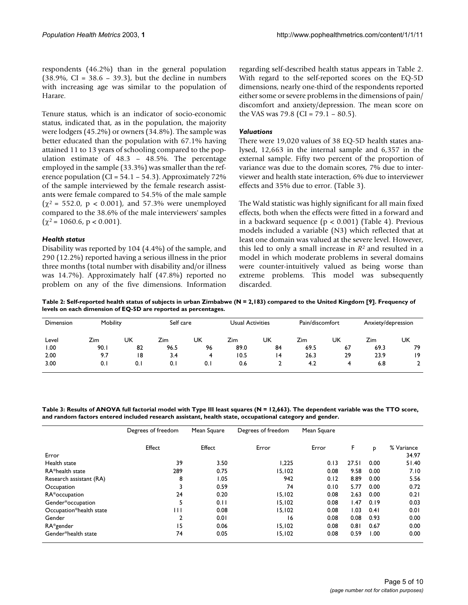respondents (46.2%) than in the general population  $(38.9\%, \text{ CI} = 38.6 - 39.3)$ , but the decline in numbers with increasing age was similar to the population of Harare.

Tenure status, which is an indicator of socio-economic status, indicated that, as in the population, the majority were lodgers (45.2%) or owners (34.8%). The sample was better educated than the population with 67.1% having attained 11 to 13 years of schooling compared to the population estimate of 48.3 – 48.5%. The percentage employed in the sample (33.3%) was smaller than the reference population (CI = 54.1 – 54.3). Approximately 72% of the sample interviewed by the female research assistants were female compared to 54.5% of the male sample  $(\chi^2 = 552.0, p < 0.001)$ , and 57.3% were unemployed compared to the 38.6% of the male interviewers' samples  $(\chi^2 = 1060.6, p < 0.001).$ 

### *Health status*

Disability was reported by 104 (4.4%) of the sample, and 290 (12.2%) reported having a serious illness in the prior three months (total number with disability and/or illness was 14.7%). Approximately half (47.8%) reported no problem on any of the five dimensions. Information regarding self-described health status appears in Table [2.](#page-4-0) With regard to the self-reported scores on the EQ-5D dimensions, nearly one-third of the respondents reported either some or severe problems in the dimensions of pain/ discomfort and anxiety/depression. The mean score on the VAS was 79.8 (CI =  $79.1 - 80.5$ ).

### *Valuations*

There were 19,020 values of 38 EQ-5D health states analysed, 12,663 in the internal sample and 6,357 in the external sample. Fifty two percent of the proportion of variance was due to the domain scores, 7% due to interviewer and health state interaction, 6% due to interviewer effects and 35% due to error. (Table [3\)](#page-4-1).

The Wald statistic was highly significant for all main fixed effects, both when the effects were fitted in a forward and in a backward sequence  $(p < 0.001)$  (Table [4](#page-5-0)). Previous models included a variable (N3) which reflected that at least one domain was valued at the severe level. However, this led to only a small increase in *R*2 and resulted in a model in which moderate problems in several domains were counter-intuitively valued as being worse than extreme problems. This model was subsequently discarded.

<span id="page-4-0"></span>**Table 2: Self-reported health status of subjects in urban Zimbabwe (N = 2,183) compared to the United Kingdom [9]. Frequency of levels on each dimension of EQ-5D are reported as percentages.**

| Mobility<br>Dimension |      |     | Self care |     | Usual Activities |                 | Pain/discomfort |    | Anxiety/depression |    |
|-----------------------|------|-----|-----------|-----|------------------|-----------------|-----------------|----|--------------------|----|
| Level                 | Zim  | UΚ  | Zim       | UΚ  | Zim              | UK              | Zim             | UK | Zim                | UΚ |
| 00.1                  | 90.1 | 82  | 96.5      | 96  | 89.0             | 84              | 69.5            | 67 | 69.3               | 79 |
| 2.00                  | 9.7  | 18  | 3.4       | 4   | 10.5             | $\overline{14}$ | 26.3            | 29 | 23.9               | 9  |
| 3.00                  | 0.1  | 0.1 | 0. I      | 0.1 | 0.6              |                 | 4.2             | 4  | 6.8                |    |

<span id="page-4-1"></span>**Table 3: Results of ANOVA full factorial model with Type III least squares (N = 12,663). The dependent variable was the TTO score, and random factors entered included research assistant, health state, occupational category and gender.**

|                         | Degrees of freedom | Mean Square | Degrees of freedom | Mean Square |       |      |            |
|-------------------------|--------------------|-------------|--------------------|-------------|-------|------|------------|
|                         | Effect             | Effect      | Error              | Error       | F     | p    | % Variance |
| Error                   |                    |             |                    |             |       |      | 34.97      |
| Health state            | 39                 | 3.50        | 1.225              | 0.13        | 27.51 | 0.00 | 51.40      |
| RA*health state         | 289                | 0.75        | 15.102             | 0.08        | 9.58  | 0.00 | 7.10       |
| Research assistant (RA) | 8                  | 1.05        | 942                | 0.12        | 8.89  | 0.00 | 5.56       |
| Occupation              |                    | 0.59        | 74                 | 0.10        | 5.77  | 0.00 | 0.72       |
| RA*occupation           | 24                 | 0.20        | 15.102             | 0.08        | 2.63  | 0.00 | 0.21       |
| Gender*occupation       | כ                  | 0.11        | 15.102             | 0.08        | 1.47  | 0.19 | 0.03       |
| Occupation*health state | Ш                  | 0.08        | 15.102             | 0.08        | 1.03  | 0.41 | 0.01       |
| Gender                  | 2                  | 0.01        | 16                 | 0.08        | 0.08  | 0.93 | 0.00       |
| RA*gender               | 15                 | 0.06        | 15.102             | 0.08        | 0.81  | 0.67 | 0.00       |
| Gender*health state     | 74                 | 0.05        | 15,102             | 0.08        | 0.59  | 00.1 | 0.00       |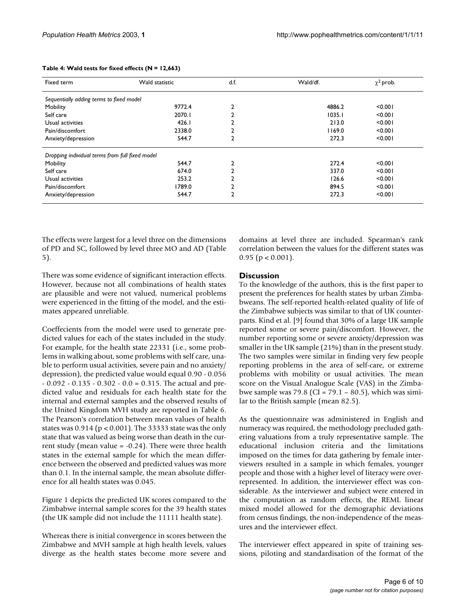| Fixed term                                      | Wald statistic | d.f.           | Wald/df. | $\chi^2$ prob. |
|-------------------------------------------------|----------------|----------------|----------|----------------|
| Sequentially adding terms to fixed model        |                |                |          |                |
| Mobility                                        | 9772.4         | $\overline{2}$ | 4886.2   | < 0.001        |
| Self care                                       | 2070.1         |                | 1035.1   | < 0.001        |
| Usual activities                                | 426.1          |                | 213.0    | < 0.001        |
| Pain/discomfort                                 | 2338.0         |                | 1169.0   | < 0.001        |
| Anxiety/depression                              | 544.7          | 2              | 272.3    | < 0.001        |
| Dropping individual terms from full fixed model |                |                |          |                |
| Mobility                                        | 544.7          | $\mathbf{2}$   | 272.4    | < 0.001        |
| Self care                                       | 674.0          | 2              | 337.0    | < 0.001        |
| Usual activities                                | 253.2          |                | 126.6    | < 0.001        |
| Pain/discomfort                                 | 1789.0         | ົ              | 894.5    | < 0.001        |
| Anxiety/depression                              | 544.7          | $\overline{2}$ | 272.3    | < 0.001        |

#### <span id="page-5-0"></span>**Table 4: Wald tests for fixed effects (N = 12,663)**

The effects were largest for a level three on the dimensions of PD and SC, followed by level three MO and AD (Table [5\)](#page-6-0).

There was some evidence of significant interaction effects. However, because not all combinations of health states are plausible and were not valued, numerical problems were experienced in the fitting of the model, and the estimates appeared unreliable.

Coeffecients from the model were used to generate predicted values for each of the states included in the study. For example, for the health state 22331 (i.e., some problems in walking about, some problems with self care, unable to perform usual activities, severe pain and no anxiety/ depression), the predicted value would equal 0.90 - 0.056 - 0.092 - 0.135 - 0.302 - 0.0 = 0.315. The actual and predicted value and residuals for each health state for the internal and external samples and the observed results of the United Kingdom MVH study are reported in Table 6. The Pearson's correlation between mean values of health states was  $0.914$  (p < 0.001). The 33333 state was the only state that was valued as being worse than death in the current study (mean value = -0.24). There were three health states in the external sample for which the mean difference between the observed and predicted values was more than 0.1. In the internal sample, the mean absolute difference for all health states was 0.045.

Figure 1 depicts the predicted UK scores compared to the Zimbabwe internal sample scores for the 39 health states (the UK sample did not include the 11111 health state).

Whereas there is initial convergence in scores between the Zimbabwe and MVH sample at high health levels, values diverge as the health states become more severe and

domains at level three are included. Spearman's rank correlation between the values for the different states was  $0.95$  (p < 0.001).

### **Discussion**

To the knowledge of the authors, this is the first paper to present the preferences for health states by urban Zimbabweans. The self-reported health-related quality of life of the Zimbabwe subjects was similar to that of UK counterparts. Kind et al. [9] found that 30% of a large UK sample reported some or severe pain/discomfort. However, the number reporting some or severe anxiety/depression was smaller in the UK sample (21%) than in the present study. The two samples were similar in finding very few people reporting problems in the area of self-care, or extreme problems with mobility or usual activities. The mean score on the Visual Analogue Scale (VAS) in the Zimbabwe sample was  $79.8$  (CI =  $79.1 - 80.5$ ), which was similar to the British sample (mean 82.5).

As the questionnaire was administered in English and numeracy was required, the methodology precluded gathering valuations from a truly representative sample. The educational inclusion criteria and the limitations imposed on the times for data gathering by female interviewers resulted in a sample in which females, younger people and those with a higher level of literacy were overrepresented. In addition, the interviewer effect was considerable. As the interviewer and subject were entered in the computation as random effects, the REML linear mixed model allowed for the demographic deviations from census findings, the non-independence of the measures and the interviewer effect.

The interviewer effect appeared in spite of training sessions, piloting and standardisation of the format of the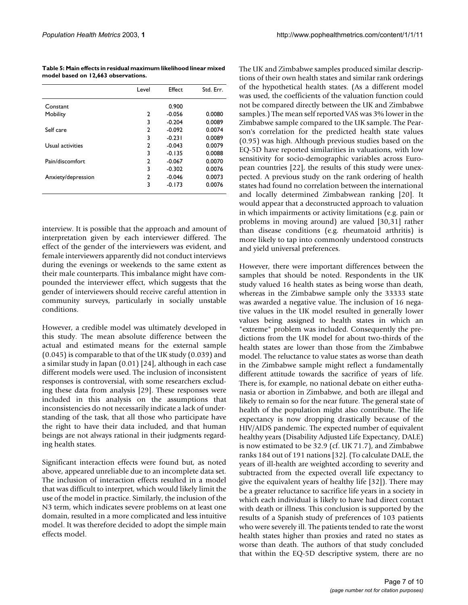<span id="page-6-0"></span>

| Table 5: Main effects in residual maximum likelihood linear mixed |
|-------------------------------------------------------------------|
| model based on 12,663 observations.                               |

|                    | Level | Effect   | Std. Err. |
|--------------------|-------|----------|-----------|
| Constant           |       | 0.900    |           |
| Mobility           | 2     | $-0.056$ | 0.0080    |
|                    | 3     | $-0.204$ | 0.0089    |
| Self care          | 2     | $-0.092$ | 0.0074    |
|                    | 3     | $-0.231$ | 0.0089    |
| Usual activities   | 2     | $-0.043$ | 0.0079    |
|                    | 3     | $-0.135$ | 0.0088    |
| Pain/discomfort    | 2     | $-0.067$ | 0.0070    |
|                    | 3     | $-0.302$ | 0.0076    |
| Anxiety/depression | 2     | $-0.046$ | 0.0073    |
|                    | 3     | $-0.173$ | 0.0076    |

interview. It is possible that the approach and amount of interpretation given by each interviewer differed. The effect of the gender of the interviewers was evident, and female interviewers apparently did not conduct interviews during the evenings or weekends to the same extent as their male counterparts. This imbalance might have compounded the interviewer effect, which suggests that the gender of interviewers should receive careful attention in community surveys, particularly in socially unstable conditions.

However, a credible model was ultimately developed in this study. The mean absolute difference between the actual and estimated means for the external sample (0.045) is comparable to that of the UK study (0.039) and a similar study in Japan (0.01) [24], although in each case different models were used. The inclusion of inconsistent responses is controversial, with some researchers excluding these data from analysis [29]. These responses were included in this analysis on the assumptions that inconsistencies do not necessarily indicate a lack of understanding of the task, that all those who participate have the right to have their data included, and that human beings are not always rational in their judgments regarding health states.

Significant interaction effects were found but, as noted above, appeared unreliable due to an incomplete data set. The inclusion of interaction effects resulted in a model that was difficult to interpret, which would likely limit the use of the model in practice. Similarly, the inclusion of the N3 term, which indicates severe problems on at least one domain, resulted in a more complicated and less intuitive model. It was therefore decided to adopt the simple main effects model.

The UK and Zimbabwe samples produced similar descriptions of their own health states and similar rank orderings of the hypothetical health states. (As a different model was used, the coefficients of the valuation function could not be compared directly between the UK and Zimbabwe samples.) The mean self reported VAS was 3% lower in the Zimbabwe sample compared to the UK sample. The Pearson's correlation for the predicted health state values (0.95) was high. Although previous studies based on the EQ-5D have reported similarities in valuations, with low sensitivity for socio-demographic variables across European countries [22], the results of this study were unexpected. A previous study on the rank ordering of health states had found no correlation between the international and locally determined Zimbabwean ranking [20]. It would appear that a deconstructed approach to valuation in which impairments or activity limitations (e.g. pain or problems in moving around) are valued [30,31] rather than disease conditions (e.g. rheumatoid arthritis) is more likely to tap into commonly understood constructs and yield universal preferences.

However, there were important differences between the samples that should be noted. Respondents in the UK study valued 16 health states as being worse than death, whereas in the Zimbabwe sample only the 33333 state was awarded a negative value. The inclusion of 16 negative values in the UK model resulted in generally lower values being assigned to health states in which an "extreme" problem was included. Consequently the predictions from the UK model for about two-thirds of the health states are lower than those from the Zimbabwe model. The reluctance to value states as worse than death in the Zimbabwe sample might reflect a fundamentally different attitude towards the sacrifice of years of life. There is, for example, no national debate on either euthanasia or abortion in Zimbabwe, and both are illegal and likely to remain so for the near future. The general state of health of the population might also contribute. The life expectancy is now dropping drastically because of the HIV/AIDS pandemic. The expected number of equivalent healthy years (Disability Adjusted Life Expectancy, DALE) is now estimated to be 32.9 (cf. UK 71.7), and Zimbabwe ranks 184 out of 191 nations [32]. (To calculate DALE, the years of ill-health are weighted according to severity and subtracted from the expected overall life expectancy to give the equivalent years of healthy life [32]). There may be a greater reluctance to sacrifice life years in a society in which each individual is likely to have had direct contact with death or illness. This conclusion is supported by the results of a Spanish study of preferences of 103 patients who were severely ill. The patients tended to rate the worst health states higher than proxies and rated no states as worse than death. The authors of that study concluded that within the EQ-5D descriptive system, there are no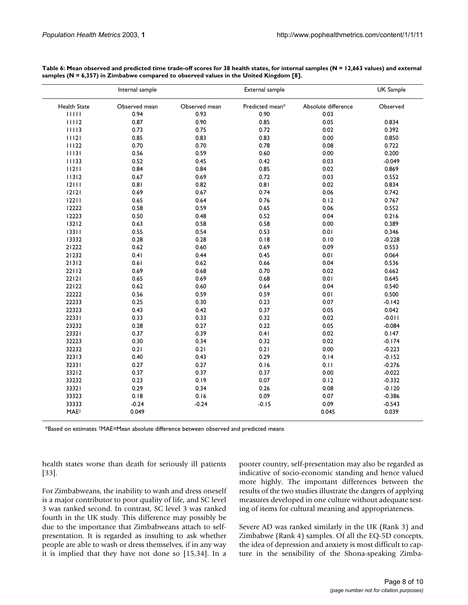|                  | Internal sample |               | External sample |                     | <b>UK Sample</b> |
|------------------|-----------------|---------------|-----------------|---------------------|------------------|
| Health State     | Observed mean   | Observed mean | Predicted mean* | Absolute difference | Observed         |
| 11111            | 0.94            | 0.93          | 0.90            | 0.03                |                  |
| 11112            | 0.87            | 0.90          | 0.85            | 0.05                | 0.834            |
| 11113            | 0.73            | 0.75          | 0.72            | 0.02                | 0.392            |
| 11121            | 0.85            | 0.83          | 0.83            | 0.00                | 0.850            |
| 11122            | 0.70            | 0.70          | 0.78            | 0.08                | 0.722            |
| 11131            | 0.56            | 0.59          | 0.60            | 0.00                | 0.200            |
| 11133            | 0.52            | 0.45          | 0.42            | 0.03                | $-0.049$         |
| 11211            | 0.84            | 0.84          | 0.85            | 0.02                | 0.869            |
| 11312            | 0.67            | 0.69          | 0.72            | 0.03                | 0.552            |
| 12111            | 0.81            | 0.82          | 0.81            | 0.02                | 0.834            |
| 12121            | 0.69            | 0.67          | 0.74            | 0.06                | 0.742            |
| 12211            | 0.65            | 0.64          | 0.76            | 0.12                | 0.767            |
| 12222            | 0.58            | 0.59          | 0.65            | 0.06                | 0.552            |
| 12223            | 0.50            | 0.48          | 0.52            | 0.04                | 0.216            |
| 13212            | 0.63            | 0.58          | 0.58            | 0.00                | 0.389            |
| 13311            | 0.55            | 0.54          | 0.53            | 0.01                | 0.346            |
| 13332            | 0.28            | 0.28          | 0.18            | 0.10                | $-0.228$         |
| 21222            | 0.62            | 0.60          | 0.69            | 0.09                | 0.553            |
| 21232            | 0.41            | 0.44          | 0.45            | 0.01                | 0.064            |
| 21312            | 0.61            | 0.62          | 0.66            | 0.04                | 0.536            |
| 22112            | 0.69            | 0.68          | 0.70            | 0.02                | 0.662            |
| 22121            | 0.65            | 0.69          | 0.68            | 0.01                | 0.645            |
| 22122            | 0.62            | 0.60          | 0.64            | 0.04                | 0.540            |
| 22222            | 0.56            | 0.59          | 0.59            | 0.01                | 0.500            |
| 22233            | 0.25            | 0.30          | 0.23            | 0.07                | $-0.142$         |
| 22323            | 0.43            | 0.42          | 0.37            | 0.05                | 0.042            |
| 22331            | 0.33            | 0.33          | 0.32            | 0.02                | $-0.011$         |
| 23232            | 0.28            | 0.27          | 0.22            | 0.05                | $-0.084$         |
| 23321            | 0.37            | 0.39          | 0.41            | 0.02                | 0.147            |
| 32223            | 0.30            | 0.34          | 0.32            | 0.02                | $-0.174$         |
| 32232            | 0.21            | 0.21          | 0.21            | 0.00                | $-0.223$         |
| 32313            | 0.40            | 0.43          | 0.29            | 0.14                | $-0.152$         |
| 32331            | 0.27            | 0.27          | 0.16            | 0.11                | $-0.276$         |
| 33212            | 0.37            | 0.37          | 0.37            | 0.00                | $-0.022$         |
| 33232            | 0.23            | 0.19          | 0.07            | 0.12                | $-0.332$         |
| 33321            | 0.29            | 0.34          | 0.26            | 0.08                | $-0.120$         |
| 33323            | 0.18            | 0.16          | 0.09            | 0.07                | $-0.386$         |
| 33333            | $-0.24$         | $-0.24$       | $-0.15$         | 0.09                | $-0.543$         |
| MAE <sup>+</sup> | 0.049           |               |                 | 0.045               | 0.039            |

**Table 6: Mean observed and predicted time trade-off scores for 38 health states, for internal samples (N = 12,663 values) and external samples (N = 6,357) in Zimbabwe compared to observed values in the United Kingdom [8].**

\*Based on estimates †MAE=Mean absolute difference between observed and predicted means

health states worse than death for seriously ill patients [33].

For Zimbabweans, the inability to wash and dress oneself is a major contributor to poor quality of life, and SC level 3 was ranked second. In contrast, SC level 3 was ranked fourth in the UK study. This difference may possibly be due to the importance that Zimbabweans attach to selfpresentation. It is regarded as insulting to ask whether people are able to wash or dress themselves, if in any way it is implied that they have not done so [15,34]. In a

poorer country, self-presentation may also be regarded as indicative of socio-economic standing and hence valued more highly. The important differences between the results of the two studies illustrate the dangers of applying measures developed in one culture without adequate testing of items for cultural meaning and appropriateness.

Severe AD was ranked similarly in the UK (Rank 3) and Zimbabwe (Rank 4) samples. Of all the EQ-5D concepts, the idea of depression and anxiety is most difficult to capture in the sensibility of the Shona-speaking Zimba-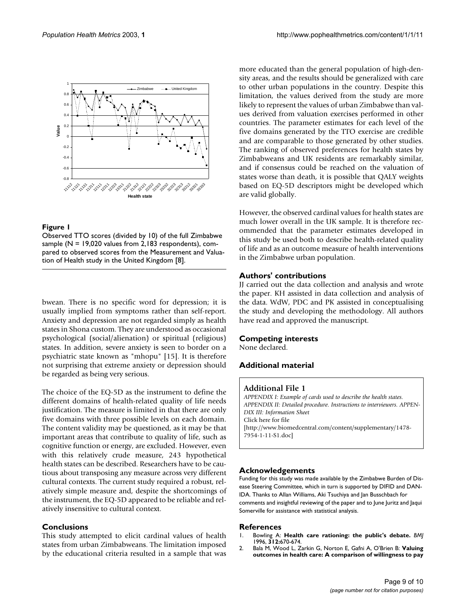

### **Figure I**

Observed TTO scores (divided by 10) of the full Zimbabwe sample (N = 19,020 values from 2,183 respondents), compared to observed scores from the Measurement and Valuation of Health study in the United Kingdom [8].

bwean. There is no specific word for depression; it is usually implied from symptoms rather than self-report. Anxiety and depression are not regarded simply as health states in Shona custom. They are understood as occasional psychological (social/alienation) or spiritual (religious) states. In addition, severe anxiety is seen to border on a psychiatric state known as "mhopu" [15]. It is therefore not surprising that extreme anxiety or depression should be regarded as being very serious.

The choice of the EQ-5D as the instrument to define the different domains of health-related quality of life needs justification. The measure is limited in that there are only five domains with three possible levels on each domain. The content validity may be questioned, as it may be that important areas that contribute to quality of life, such as cognitive function or energy, are excluded. However, even with this relatively crude measure, 243 hypothetical health states can be described. Researchers have to be cautious about transposing any measure across very different cultural contexts. The current study required a robust, relatively simple measure and, despite the shortcomings of the instrument, the EQ-5D appeared to be reliable and relatively insensitive to cultural context.

### **Conclusions**

This study attempted to elicit cardinal values of health states from urban Zimbabweans. The limitation imposed by the educational criteria resulted in a sample that was more educated than the general population of high-density areas, and the results should be generalized with care to other urban populations in the country. Despite this limitation, the values derived from the study are more likely to represent the values of urban Zimbabwe than values derived from valuation exercises performed in other countries. The parameter estimates for each level of the five domains generated by the TTO exercise are credible and are comparable to those generated by other studies. The ranking of observed preferences for health states by Zimbabweans and UK residents are remarkably similar, and if consensus could be reached on the valuation of states worse than death, it is possible that QALY weights based on EQ-5D descriptors might be developed which are valid globally.

However, the observed cardinal values for health states are much lower overall in the UK sample. It is therefore recommended that the parameter estimates developed in this study be used both to describe health-related quality of life and as an outcome measure of health interventions in the Zimbabwe urban population.

### **Authors' contributions**

JJ carried out the data collection and analysis and wrote the paper. KH assisted in data collection and analysis of the data. WdW, PDC and PK assisted in conceptualising the study and developing the methodology. All authors have read and approved the manuscript.

### **Competing interests**

None declared.

## **Additional material**

### **Additional File 1**

*APPENDIX I: Example of cards used to describe the health states. APPENDIX II: Detailed procedure. Instructions to interviewers. APPEN-DIX III: Information Sheet* Click here for file [\[http://www.biomedcentral.com/content/supplementary/1478-](http://www.biomedcentral.com/content/supplementary/1478-7954-1-11-S1.doc) 7954-1-11-S1.doc]

### **Acknowledgements**

Funding for this study was made available by the Zimbabwe Burden of Disease Steering Committee, which in turn is supported by DIFID and DAN-IDA. Thanks to Allan Williams, Aki Tsuchiya and Jan Busschbach for comments and insightful reviewing of the paper and to June Juritz and Jaqui Somerville for assistance with statistical analysis.

### **References**

- 1. Bowling A: **[Health care rationing: the public's debate.](http://www.ncbi.nlm.nih.gov/entrez/query.fcgi?cmd=Retrieve&db=PubMed&dopt=Abstract&list_uids=8597733)** *BMJ* 1996, **312:**670-674.
- 2. Bala M, Wood L, Zarkin G, Norton E, Gafni A, O'Brien B: **[Valuing](http://www.ncbi.nlm.nih.gov/entrez/query.fcgi?cmd=Retrieve&db=PubMed&dopt=Abstract&list_uids=10.1016/S0895-4356(98)00036-5) [outcomes in health care: A comparison of willingness to pay](http://www.ncbi.nlm.nih.gov/entrez/query.fcgi?cmd=Retrieve&db=PubMed&dopt=Abstract&list_uids=10.1016/S0895-4356(98)00036-5)**